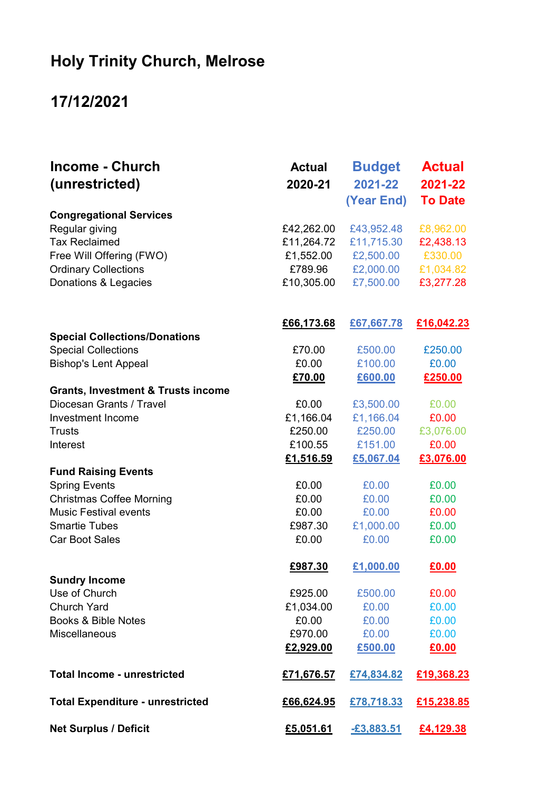## Holy Trinity Church, Melrose

## 17/12/2021

| <b>Income - Church</b><br>(unrestricted)      | <b>Actual</b><br>2020-21       | <b>Budget</b><br>2021-22<br>(Year End) | <b>Actual</b><br>2021-22<br><b>To Date</b> |
|-----------------------------------------------|--------------------------------|----------------------------------------|--------------------------------------------|
|                                               |                                |                                        |                                            |
|                                               | <b>Congregational Services</b> |                                        |                                            |
| Regular giving                                | £42,262.00                     | £43,952.48                             | £8,962.00                                  |
| <b>Tax Reclaimed</b>                          | £11,264.72                     | £11,715.30                             | £2,438.13                                  |
| Free Will Offering (FWO)                      | £1,552.00                      | £2,500.00                              | £330.00                                    |
| <b>Ordinary Collections</b>                   | £789.96                        | £2,000.00                              | £1,034.82                                  |
| Donations & Legacies                          | £10,305.00                     | £7,500.00                              | £3,277.28                                  |
|                                               | £66,173.68                     | £67,667.78                             | £16,042.23                                 |
| <b>Special Collections/Donations</b>          |                                |                                        |                                            |
| <b>Special Collections</b>                    | £70.00                         | £500.00                                | £250.00                                    |
| <b>Bishop's Lent Appeal</b>                   | £0.00                          | £100.00                                | £0.00                                      |
|                                               | £70.00                         | £600.00                                | £250.00                                    |
| <b>Grants, Investment &amp; Trusts income</b> |                                |                                        |                                            |
| Diocesan Grants / Travel                      | £0.00                          | £3,500.00                              | £0.00                                      |
| <b>Investment Income</b>                      | £1,166.04                      | £1,166.04                              | £0.00                                      |
| <b>Trusts</b>                                 | £250.00                        | £250.00                                | £3,076.00                                  |
| Interest                                      | £100.55                        | £151.00                                | £0.00                                      |
|                                               | £1,516.59                      | £5,067.04                              | £3,076.00                                  |
| <b>Fund Raising Events</b>                    |                                |                                        |                                            |
| <b>Spring Events</b>                          | £0.00                          | £0.00                                  | £0.00                                      |
| <b>Christmas Coffee Morning</b>               | £0.00                          | £0.00                                  | £0.00                                      |
| <b>Music Festival events</b>                  | £0.00                          | £0.00                                  | £0.00                                      |
| <b>Smartie Tubes</b>                          | £987.30                        | £1,000.00                              | £0.00                                      |
| <b>Car Boot Sales</b>                         | £0.00                          | £0.00                                  | £0.00                                      |
| <b>Sundry Income</b>                          | £987.30                        | £1,000.00                              | £0.00                                      |
| Use of Church                                 | £925.00                        | £500.00                                | £0.00                                      |
| <b>Church Yard</b>                            | £1,034.00                      | £0.00                                  | £0.00                                      |
| Books & Bible Notes                           | £0.00                          | £0.00                                  | £0.00                                      |
| <b>Miscellaneous</b>                          | £970.00                        | £0.00                                  | £0.00                                      |
|                                               | £2,929.00                      | £500.00                                | £0.00                                      |
| <b>Total Income - unrestricted</b>            | £71,676.57                     | £74,834.82                             | £19,368.23                                 |
| <b>Total Expenditure - unrestricted</b>       | £66,624.95                     | £78,718.33                             | £15,238.85                                 |
| <b>Net Surplus / Deficit</b>                  | £5,051.61                      | $-£3,883.51$                           | £4,129.38                                  |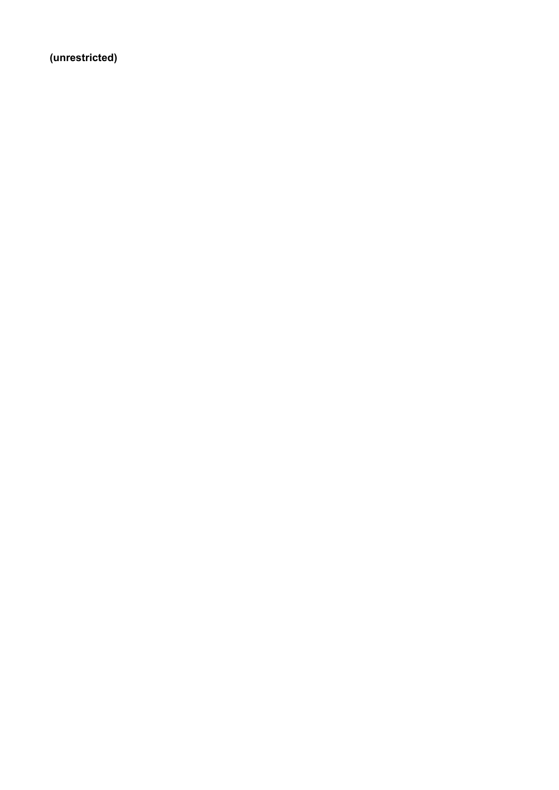(unrestricted)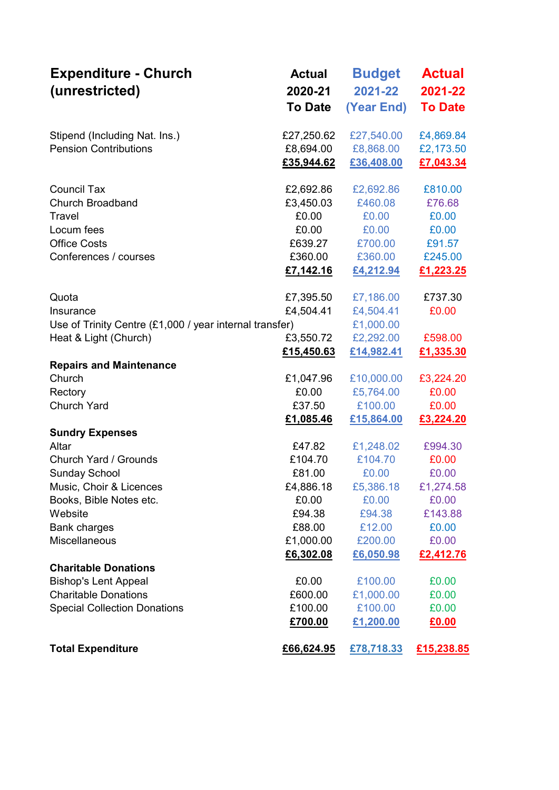| <b>Expenditure - Church</b><br>(unrestricted)                                                                                                                                                                                   | <b>Actual</b><br>2020-21<br><b>To Date</b>                                                      | <b>Budget</b><br>2021-22<br>(Year End)                                                          | <b>Actual</b><br>2021-22<br><b>To Date</b>                                                |
|---------------------------------------------------------------------------------------------------------------------------------------------------------------------------------------------------------------------------------|-------------------------------------------------------------------------------------------------|-------------------------------------------------------------------------------------------------|-------------------------------------------------------------------------------------------|
| Stipend (Including Nat. Ins.)<br><b>Pension Contributions</b>                                                                                                                                                                   | £27,250.62<br>£8,694.00<br>£35,944.62                                                           | £27,540.00<br>£8,868.00<br>£36,408.00                                                           | £4,869.84<br>£2,173.50<br>£7,043.34                                                       |
| <b>Council Tax</b><br><b>Church Broadband</b><br>Travel<br>Locum fees<br><b>Office Costs</b><br>Conferences / courses                                                                                                           | £2,692.86<br>£3,450.03<br>£0.00<br>£0.00<br>£639.27<br>£360.00<br>£7,142.16                     | £2,692.86<br>£460.08<br>£0.00<br>£0.00<br>£700.00<br>£360.00<br>£4,212.94                       | £810.00<br>£76.68<br>£0.00<br>£0.00<br>£91.57<br>£245.00<br>£1,223.25                     |
| Quota<br>Insurance<br>Use of Trinity Centre (£1,000 / year internal transfer)<br>Heat & Light (Church)                                                                                                                          | £7,395.50<br>£4,504.41<br>£3,550.72<br>£15,450.63                                               | £7,186.00<br>£4,504.41<br>£1,000.00<br>£2,292.00<br>£14,982.41                                  | £737.30<br>£0.00<br>£598.00<br>£1,335.30                                                  |
| <b>Repairs and Maintenance</b><br>Church<br>Rectory<br><b>Church Yard</b>                                                                                                                                                       | £1,047.96<br>£0.00<br>£37.50<br>£1,085.46                                                       | £10,000.00<br>£5,764.00<br>£100.00<br>£15,864.00                                                | £3,224.20<br>£0.00<br>£0.00<br>£3,224.20                                                  |
| <b>Sundry Expenses</b><br>Altar<br>Church Yard / Grounds<br><b>Sunday School</b><br>Music, Choir & Licences<br>Books, Bible Notes etc.<br>Website<br><b>Bank charges</b><br><b>Miscellaneous</b><br><b>Charitable Donations</b> | £47.82<br>£104.70<br>£81.00<br>£4,886.18<br>£0.00<br>£94.38<br>£88.00<br>£1,000.00<br>£6,302.08 | £1,248.02<br>£104.70<br>£0.00<br>£5,386.18<br>£0.00<br>£94.38<br>£12.00<br>£200.00<br>£6,050.98 | £994.30<br>£0.00<br>£0.00<br>£1,274.58<br>£0.00<br>£143.88<br>£0.00<br>£0.00<br>£2,412.76 |
| <b>Bishop's Lent Appeal</b><br><b>Charitable Donations</b><br><b>Special Collection Donations</b><br><b>Total Expenditure</b>                                                                                                   | £0.00<br>£600.00<br>£100.00<br>£700.00<br>£66,624.95                                            | £100.00<br>£1,000.00<br>£100.00<br>£1,200.00<br>£78,718.33                                      | £0.00<br>£0.00<br>£0.00<br>£0.00<br>£15,238.85                                            |
|                                                                                                                                                                                                                                 |                                                                                                 |                                                                                                 |                                                                                           |